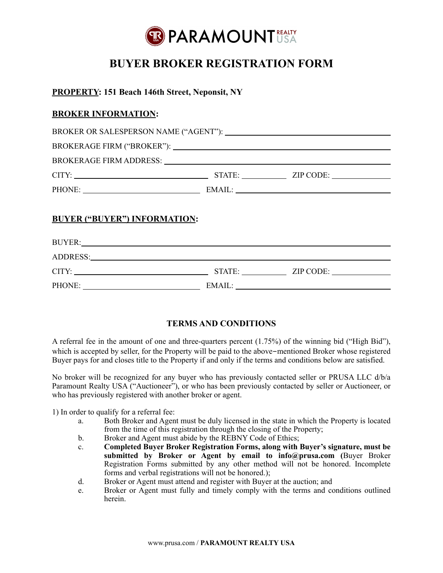

# **BUYER BROKER REGISTRATION FORM**

### **PROPERTY: 151 Beach 146th Street, Neponsit, NY**

### **BROKER INFORMATION:**

| CITY: University of the contract of the contract of the contract of the contract of the contract of the contract of the contract of the contract of the contract of the contract of the contract of the contract of the contra | STATE: ZIP CODE: |
|--------------------------------------------------------------------------------------------------------------------------------------------------------------------------------------------------------------------------------|------------------|
| PHONE:                                                                                                                                                                                                                         |                  |
|                                                                                                                                                                                                                                |                  |

### **BUYER ("BUYER") INFORMATION:**

| <b>BUYER:</b> |        |           |
|---------------|--------|-----------|
| ADDRESS:      |        |           |
| CITY:         | STATE: | ZIP CODE: |
| PHONE:        | EMAIL: |           |

## **TERMS AND CONDITIONS**

A referral fee in the amount of one and three-quarters percent (1.75%) of the winning bid ("High Bid"), which is accepted by seller, for the Property will be paid to the above-mentioned Broker whose registered Buyer pays for and closes title to the Property if and only if the terms and conditions below are satisfied.

No broker will be recognized for any buyer who has previously contacted seller or PRUSA LLC d/b/a Paramount Realty USA ("Auctioneer"), or who has been previously contacted by seller or Auctioneer, or who has previously registered with another broker or agent.

1) In order to qualify for a referral fee:

- a. Both Broker and Agent must be duly licensed in the state in which the Property is located from the time of this registration through the closing of the Property;
- b. Broker and Agent must abide by the REBNY Code of Ethics;
- c. **Completed Buyer Broker Registration Forms, along with Buyer's signature, must be submitted by Broker or Agent by email to info@prusa.com (**Buyer Broker Registration Forms submitted by any other method will not be honored. Incomplete forms and verbal registrations will not be honored.);
- d. Broker or Agent must attend and register with Buyer at the auction; and
- e. Broker or Agent must fully and timely comply with the terms and conditions outlined herein.